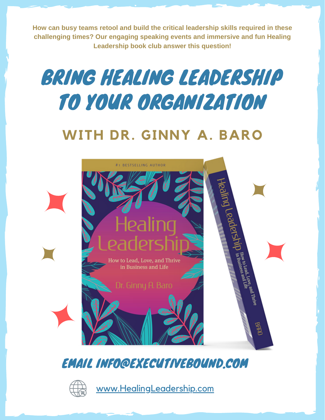**How can busy teams retool and build the critical leadership skills required in these challenging times? Our engaging speaking events and immersive and fun Healing Leadership book club answer this question!**

# BRING HEALING LEADERSHIP TO YOUR ORGANIZATION

# **WITH DR. GINNY A. BARO**



## EMAIL INFO@EXECUTIVEBOUND.COM



[www.HealingLeadership.com](https://www.executivebound.com/healingleadership)